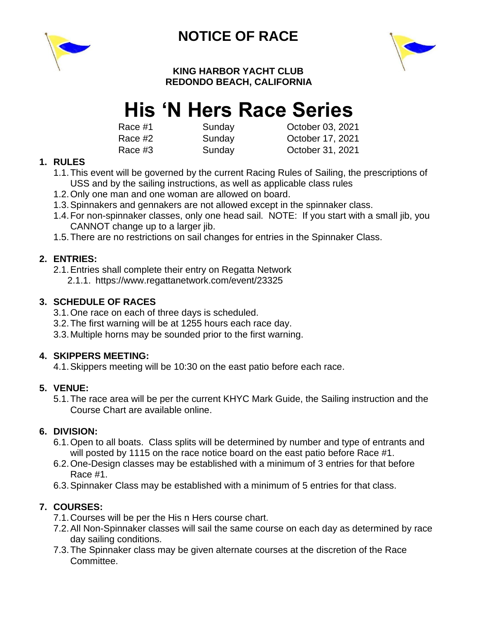

## **NOTICE OF RACE**



**KING HARBOR YACHT CLUB REDONDO BEACH, CALIFORNIA**

# **His 'N Hers Race Series**

Race #1 Sunday Cotober 03, 2021 Race #2 **Sunday October 17, 2021** Race #3 Sunday October 31, 2021

#### **1. RULES**

- 1.1.This event will be governed by the current Racing Rules of Sailing, the prescriptions of USS and by the sailing instructions, as well as applicable class rules
- 1.2.Only one man and one woman are allowed on board.
- 1.3.Spinnakers and gennakers are not allowed except in the spinnaker class.
- 1.4.For non-spinnaker classes, only one head sail. NOTE: If you start with a small jib, you CANNOT change up to a larger jib.
- 1.5.There are no restrictions on sail changes for entries in the Spinnaker Class.

#### **2. ENTRIES:**

2.1.Entries shall complete their entry on Regatta Network 2.1.1. https://www.regattanetwork.com/event/23325

#### **3. SCHEDULE OF RACES**

- 3.1.One race on each of three days is scheduled.
- 3.2.The first warning will be at 1255 hours each race day.
- 3.3.Multiple horns may be sounded prior to the first warning.

#### **4. SKIPPERS MEETING:**

4.1.Skippers meeting will be 10:30 on the east patio before each race.

#### **5. VENUE:**

5.1.The race area will be per the current KHYC Mark Guide, the Sailing instruction and the Course Chart are available online.

#### **6. DIVISION:**

- 6.1.Open to all boats. Class splits will be determined by number and type of entrants and will posted by 1115 on the race notice board on the east patio before Race #1.
- 6.2.One-Design classes may be established with a minimum of 3 entries for that before Race #1.
- 6.3.Spinnaker Class may be established with a minimum of 5 entries for that class.

### **7. COURSES:**

- 7.1.Courses will be per the His n Hers course chart.
- 7.2.All Non-Spinnaker classes will sail the same course on each day as determined by race day sailing conditions.
- 7.3.The Spinnaker class may be given alternate courses at the discretion of the Race Committee.